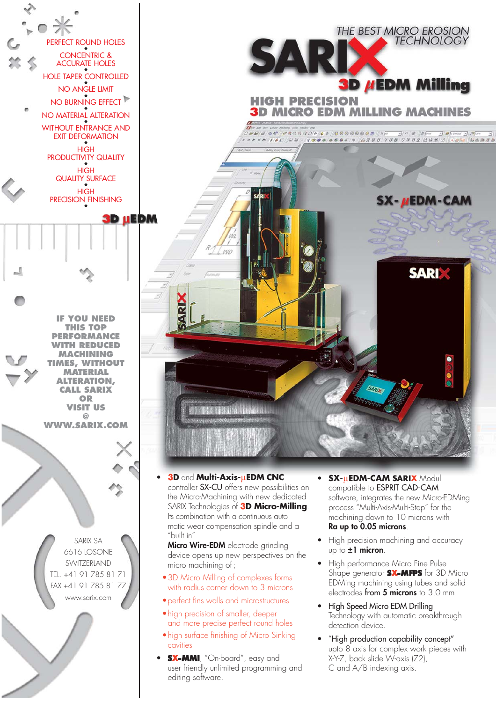